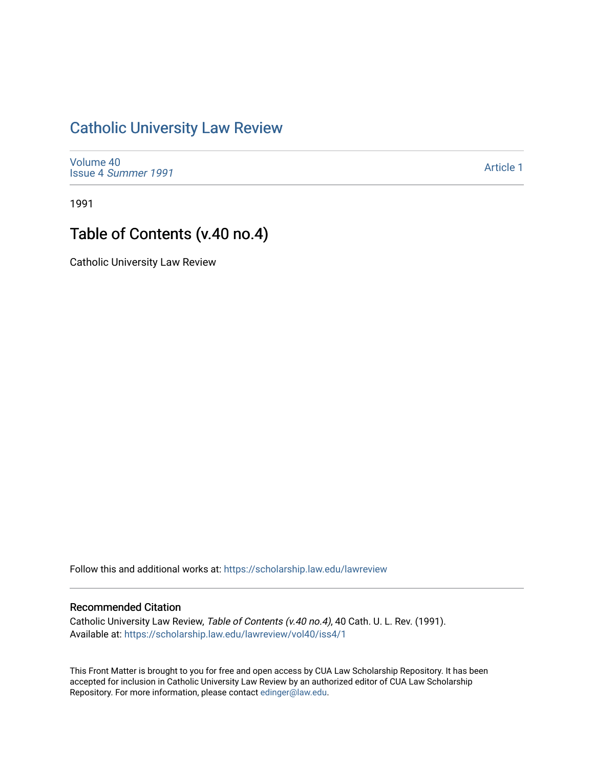## [Catholic University Law Review](https://scholarship.law.edu/lawreview)

[Volume 40](https://scholarship.law.edu/lawreview/vol40) Issue 4 [Summer 1991](https://scholarship.law.edu/lawreview/vol40/iss4) 

[Article 1](https://scholarship.law.edu/lawreview/vol40/iss4/1) 

1991

## Table of Contents (v.40 no.4)

Catholic University Law Review

Follow this and additional works at: [https://scholarship.law.edu/lawreview](https://scholarship.law.edu/lawreview?utm_source=scholarship.law.edu%2Flawreview%2Fvol40%2Fiss4%2F1&utm_medium=PDF&utm_campaign=PDFCoverPages)

## Recommended Citation

Catholic University Law Review, Table of Contents (v.40 no.4), 40 Cath. U. L. Rev. (1991). Available at: [https://scholarship.law.edu/lawreview/vol40/iss4/1](https://scholarship.law.edu/lawreview/vol40/iss4/1?utm_source=scholarship.law.edu%2Flawreview%2Fvol40%2Fiss4%2F1&utm_medium=PDF&utm_campaign=PDFCoverPages)

This Front Matter is brought to you for free and open access by CUA Law Scholarship Repository. It has been accepted for inclusion in Catholic University Law Review by an authorized editor of CUA Law Scholarship Repository. For more information, please contact [edinger@law.edu.](mailto:edinger@law.edu)